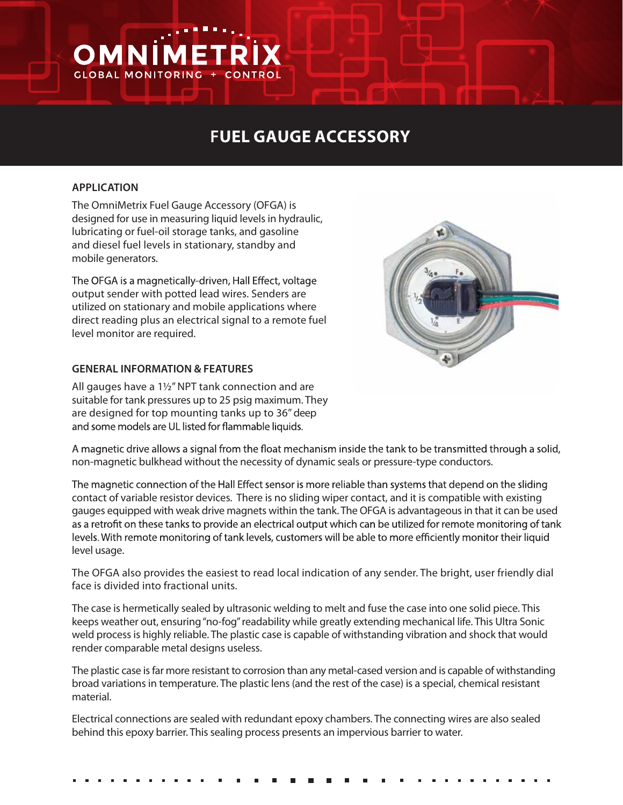# **FUEL GAUGE ACCESSORY**

### **APPLICATION**

OMNİ

**GLOBAL MONITORING** 

The OmniMetrix Fuel Gauge Accessory (OFGA) is designed for use in measuring liquid levels in hydraulic, lubricating or fuel-oil storage tanks, and gasoline and diesel fuel levels in stationary, standby and mobile generators.

EТ

The OFGA is a magnetically-driven, Hall Effect, voltage output sender with potted lead wires. Senders are utilized on stationary and mobile applications where direct reading plus an electrical signal to a remote fuel level monitor are required.

# **GENERAL INFORMATION & FEATURES**

All gauges have a 1½" NPT tank connection and are suitable for tank pressures up to 25 psig maximum. They are designed for top mounting tanks up to 36" deep and some models are UL listed for flammable liquids.



A magnetic drive allows a signal from the float mechanism inside the tank to be transmitted through a solid, non-magnetic bulkhead without the necessity of dynamic seals or pressure-type conductors.

The magnetic connection of the Hall Effect sensor is more reliable than systems that depend on the sliding contact of variable resistor devices. There is no sliding wiper contact, and it is compatible with existing gauges equipped with weak drive magnets within the tank. The OFGA is advantageous in that it can be used as a retrofit on these tanks to provide an electrical output which can be utilized for remote monitoring of tank levels. With remote monitoring of tank levels, customers will be able to more efficiently monitor their liquid level usage.

The OFGA also provides the easiest to read local indication of any sender. The bright, user friendly dial face is divided into fractional units.

The case is hermetically sealed by ultrasonic welding to melt and fuse the case into one solid piece. This keeps weather out, ensuring "no-fog" readability while greatly extending mechanical life. This Ultra Sonic weld processis highly reliable. The plastic case is capable of withstanding vibration and shock that would render comparable metal designs useless.

The plastic case is far more resistant to corrosion than any metal-cased version and is capable of withstanding broad variations in temperature. The plastic lens (and the rest of the case) is a special, chemical resistant material.

Electrical connections are sealed with redundant epoxy chambers. The connecting wires are also sealed behind this epoxy barrier. This sealing process presents an impervious barrier to water.